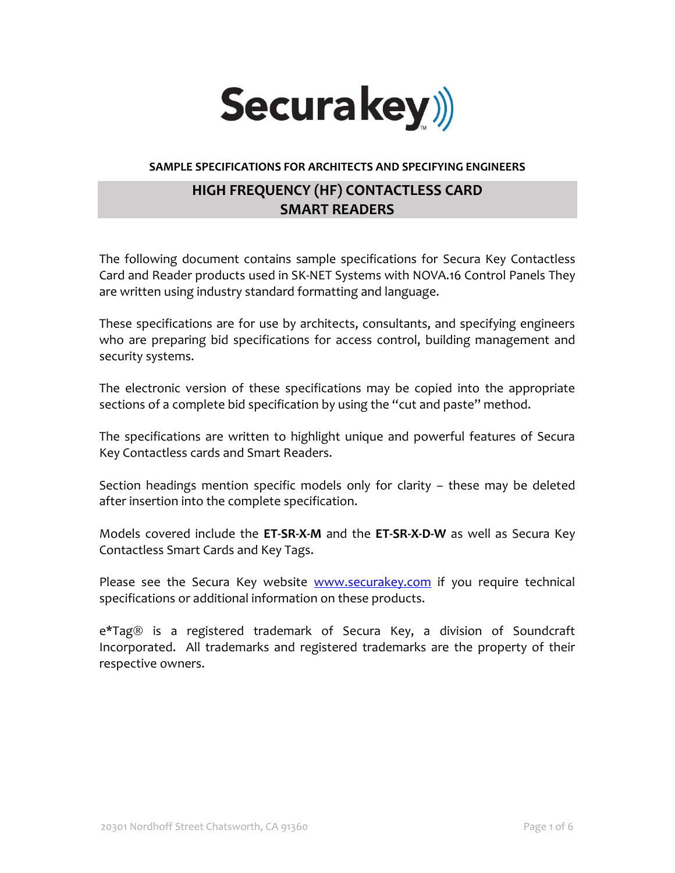

## **SAMPLE SPECIFICATIONS FOR ARCHITECTS AND SPECIFYING ENGINEERS**

# **HIGH FREQUENCY (HF) CONTACTLESS CARD SMART READERS**

The following document contains sample specifications for Secura Key Contactless Card and Reader products used in SK-NET Systems with NOVA.16 Control Panels They are written using industry standard formatting and language.

These specifications are for use by architects, consultants, and specifying engineers who are preparing bid specifications for access control, building management and security systems.

The electronic version of these specifications may be copied into the appropriate sections of a complete bid specification by using the "cut and paste" method.

The specifications are written to highlight unique and powerful features of Secura Key Contactless cards and Smart Readers.

Section headings mention specific models only for clarity – these may be deleted after insertion into the complete specification.

Models covered include the **ET-SR-X-M** and the **ET-SR-X-D-W** as well as Secura Key Contactless Smart Cards and Key Tags.

Please see the Secura Key website [www.securakey.com](http://www.securakey.com/) if you require technical specifications or additional information on these products.

e\*Tag<sup>®</sup> is a registered trademark of Secura Key, a division of Soundcraft Incorporated. All trademarks and registered trademarks are the property of their respective owners.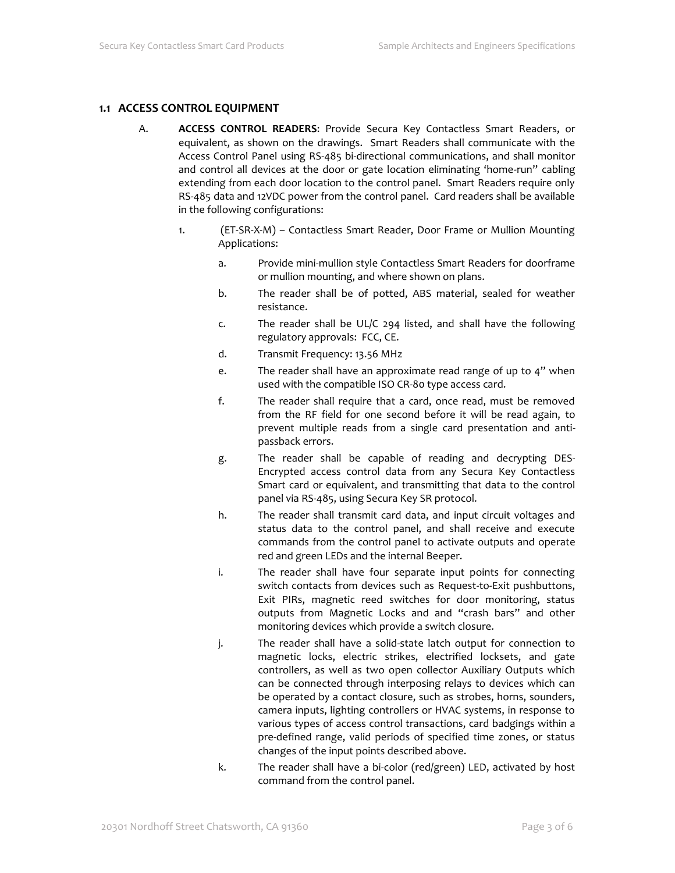## **1.1 ACCESS CONTROL EQUIPMENT**

- A. **ACCESS CONTROL READERS**: Provide Secura Key Contactless Smart Readers, or equivalent, as shown on the drawings. Smart Readers shall communicate with the Access Control Panel using RS-485 bi-directional communications, and shall monitor and control all devices at the door or gate location eliminating 'home-run" cabling extending from each door location to the control panel. Smart Readers require only RS-485 data and 12VDC power from the control panel. Card readers shall be available in the following configurations:
	- 1. (ET-SR-X-M) Contactless Smart Reader, Door Frame or Mullion Mounting Applications:
		- a. Provide mini-mullion style Contactless Smart Readers for doorframe or mullion mounting, and where shown on plans.
		- b. The reader shall be of potted, ABS material, sealed for weather resistance.
		- c. The reader shall be UL/C 294 listed, and shall have the following regulatory approvals: FCC, CE.
		- d. Transmit Frequency: 13.56 MHz
		- e. The reader shall have an approximate read range of up to 4" when used with the compatible ISO CR-80 type access card.
		- f. The reader shall require that a card, once read, must be removed from the RF field for one second before it will be read again, to prevent multiple reads from a single card presentation and antipassback errors.
		- g. The reader shall be capable of reading and decrypting DES-Encrypted access control data from any Secura Key Contactless Smart card or equivalent, and transmitting that data to the control panel via RS-485, using Secura Key SR protocol.
		- h. The reader shall transmit card data, and input circuit voltages and status data to the control panel, and shall receive and execute commands from the control panel to activate outputs and operate red and green LEDs and the internal Beeper.
		- i. The reader shall have four separate input points for connecting switch contacts from devices such as Request-to-Exit pushbuttons, Exit PIRs, magnetic reed switches for door monitoring, status outputs from Magnetic Locks and and "crash bars" and other monitoring devices which provide a switch closure.
		- j. The reader shall have a solid-state latch output for connection to magnetic locks, electric strikes, electrified locksets, and gate controllers, as well as two open collector Auxiliary Outputs which can be connected through interposing relays to devices which can be operated by a contact closure, such as strobes, horns, sounders, camera inputs, lighting controllers or HVAC systems, in response to various types of access control transactions, card badgings within a pre-defined range, valid periods of specified time zones, or status changes of the input points described above.
		- k. The reader shall have a bi-color (red/green) LED, activated by host command from the control panel.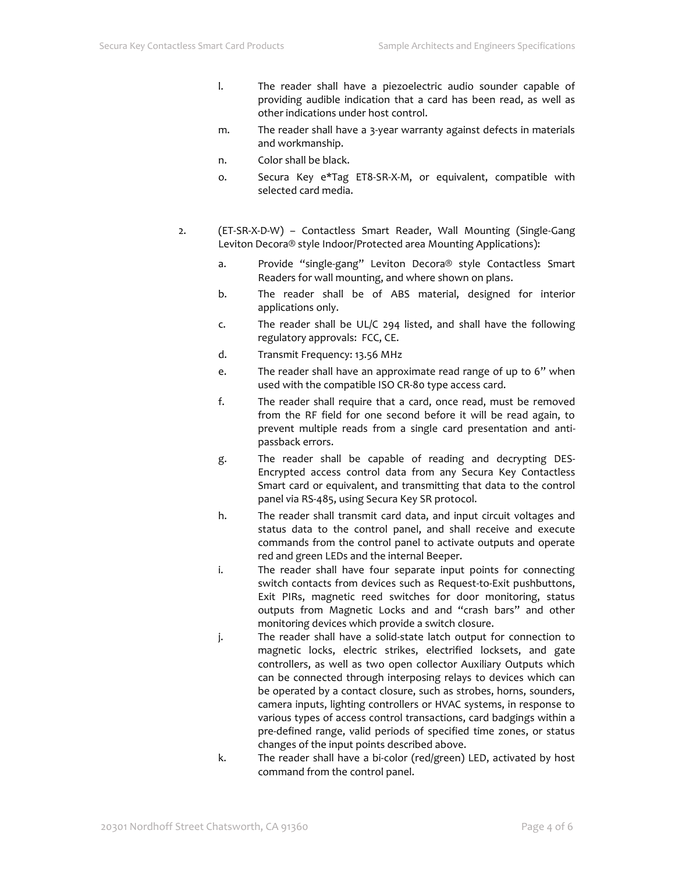- l. The reader shall have a piezoelectric audio sounder capable of providing audible indication that a card has been read, as well as other indications under host control.
- m. The reader shall have a 3-year warranty against defects in materials and workmanship.
- n. Color shall be black.
- o. Secura Key e\*Tag ET8-SR-X-M, or equivalent, compatible with selected card media.
- 2. (ET-SR-X-D-W) Contactless Smart Reader, Wall Mounting (Single-Gang Leviton Decora® style Indoor/Protected area Mounting Applications):
	- a. Provide "single-gang" Leviton Decora® style Contactless Smart Readers for wall mounting, and where shown on plans.
	- b. The reader shall be of ABS material, designed for interior applications only.
	- c. The reader shall be UL/C 294 listed, and shall have the following regulatory approvals: FCC, CE.
	- d. Transmit Frequency: 13.56 MHz
	- e. The reader shall have an approximate read range of up to 6" when used with the compatible ISO CR-80 type access card.
	- f. The reader shall require that a card, once read, must be removed from the RF field for one second before it will be read again, to prevent multiple reads from a single card presentation and antipassback errors.
	- g. The reader shall be capable of reading and decrypting DES-Encrypted access control data from any Secura Key Contactless Smart card or equivalent, and transmitting that data to the control panel via RS-485, using Secura Key SR protocol.
	- h. The reader shall transmit card data, and input circuit voltages and status data to the control panel, and shall receive and execute commands from the control panel to activate outputs and operate red and green LEDs and the internal Beeper.
	- i. The reader shall have four separate input points for connecting switch contacts from devices such as Request-to-Exit pushbuttons, Exit PIRs, magnetic reed switches for door monitoring, status outputs from Magnetic Locks and and "crash bars" and other monitoring devices which provide a switch closure.
	- j. The reader shall have a solid-state latch output for connection to magnetic locks, electric strikes, electrified locksets, and gate controllers, as well as two open collector Auxiliary Outputs which can be connected through interposing relays to devices which can be operated by a contact closure, such as strobes, horns, sounders, camera inputs, lighting controllers or HVAC systems, in response to various types of access control transactions, card badgings within a pre-defined range, valid periods of specified time zones, or status changes of the input points described above.
	- k. The reader shall have a bi-color (red/green) LED, activated by host command from the control panel.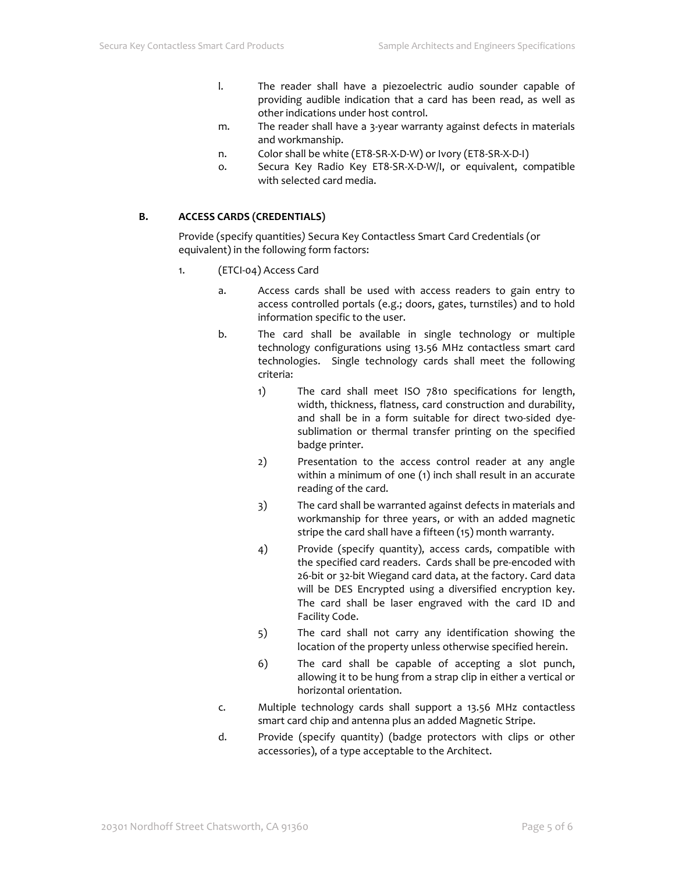- l. The reader shall have a piezoelectric audio sounder capable of providing audible indication that a card has been read, as well as other indications under host control.
- m. The reader shall have a 3-year warranty against defects in materials and workmanship.
- n. Color shall be white (ET8-SR-X-D-W) or Ivory (ET8-SR-X-D-I)
- o. Secura Key Radio Key ET8-SR-X-D-W/I, or equivalent, compatible with selected card media.

#### **B. ACCESS CARDS (CREDENTIALS)**

Provide (specify quantities*)* Secura Key Contactless Smart Card Credentials (or equivalent) in the following form factors:

- 1. (ETCI-04) Access Card
	- a. Access cards shall be used with access readers to gain entry to access controlled portals (e.g.; doors, gates, turnstiles) and to hold information specific to the user.
	- b. The card shall be available in single technology or multiple technology configurations using 13.56 MHz contactless smart card technologies. Single technology cards shall meet the following criteria:
		- 1) The card shall meet ISO 7810 specifications for length, width, thickness, flatness, card construction and durability, and shall be in a form suitable for direct two-sided dyesublimation or thermal transfer printing on the specified badge printer.
		- 2) Presentation to the access control reader at any angle within a minimum of one (1) inch shall result in an accurate reading of the card.
		- 3) The card shall be warranted against defects in materials and workmanship for three years, or with an added magnetic stripe the card shall have a fifteen (15) month warranty.
		- 4) Provide (specify quantity), access cards, compatible with the specified card readers. Cards shall be pre-encoded with 26-bit or 32-bit Wiegand card data, at the factory. Card data will be DES Encrypted using a diversified encryption key. The card shall be laser engraved with the card ID and Facility Code.
		- 5) The card shall not carry any identification showing the location of the property unless otherwise specified herein.
		- 6) The card shall be capable of accepting a slot punch, allowing it to be hung from a strap clip in either a vertical or horizontal orientation.
	- c. Multiple technology cards shall support a 13.56 MHz contactless smart card chip and antenna plus an added Magnetic Stripe.
	- d. Provide (specify quantity) (badge protectors with clips or other accessories), of a type acceptable to the Architect.